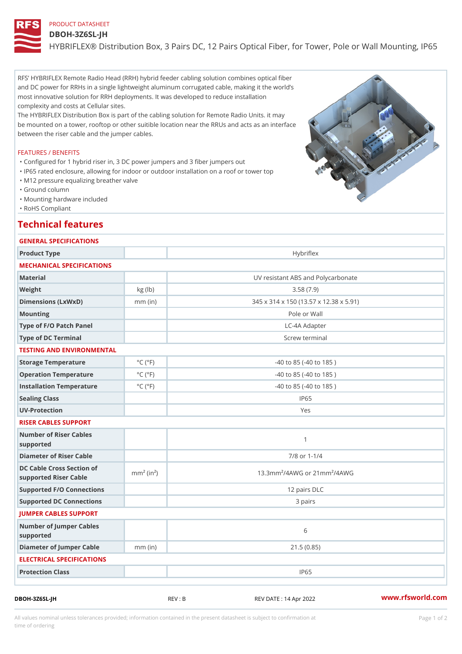# PRODUCT DATASHEET DBOH-3Z6SL-JH HYBRIFLEX® Distribution Box, 3 Pairs DC, 12 Pairs Optical Fiber, for

RFS HYBRIFLEX Remote Radio Head (RRH) hybrid feeder cabling solution combines optical fiber and DC power for RRHs in a single lightweight aluminum corrugated cable, making it the world s most innovative solution for RRH deployments. It was developed to reduce installation complexity and costs at Cellular sites.

The HYBRIDFils Et Mibution Box is part of the cabling ges **Relation rules** hot s Ret may

be mounted a ot no wer, rooftop or other suitible location near the RRUs and acts as an interface between the riser cable and the jumper cables.

## FEATURES / BENEFITS

"Configured for 1 hybrid riser in, 3 DC power jumpers and 3 fiber jumpers out

- "IP65 rated enclosure, allowing for indoor or outdoor installation on a roof or tower top "M12 pressure equalizing breather valve
- "Ground column
- "Mounting hardware included
- "RoHS Compliant

## Technical features

ELECTRICAL SPECIFICATIONS

# GENERAL SPECIFICATIONS Product Type  $\overline{\phantom{a}}$  Hybriflex MECHANICAL SPECIFICATIONS Material UV resistant ABS and Polycarbonate Weight  $kg$  (lb)  $kg$  (lb)  $3.58$  (7.9) Dimensions (LxWxD) mm (in) 345 x 314 x 150 (13.57 x 12.38 x 5.91) Mounting Pole or Wall Type of F/O Patch Panel LC-4A Adapter Type of DC Terminal Screw terminal TESTING AND ENVIRONMENTAL Storage Temperature  $\begin{array}{c} \circ \text{C} \\ \circ \text{C} \end{array}$  (°F) -40 to 85 (-40 to 185) Operation Temperature  $\degree$  °C ( $\degree$ F) -40 to 85 (-40 to 185) Installation Temperature  $°C$  ( ${}^{\circ}F$ )  $-40$  to 85 (-40 to 185) Sealing Class and the sealing Class in the sealing of the sealing of the sealing of the sealing of the sealing of the sealing of the sealing of the sealing of the sealing of the sealing of the sealing of the sealing of the UV-Protection Yes RISER CABLES SUPPORT Number of Riser Cables supported 1 Diameter of Riser Cable 7/8 or 1-1/4 DC Cable Cross Section of mm<sup>2</sup> (in<sup>2</sup>) supported Riser Cable mm² (in²) 13.3mm²/4AWG or 21mm²/4AWG Supported F/O Connections 12 pairs DLC Supported DC Connections 2008 2008 3 pairs JUMPER CABLES SUPPORT Number of Jumper Cables supported 6 Diameter of Jumper Cable mm (in) 21.5 (0.85)

All values nominal unless tolerances provided; information contained in the present datasheet is subject to Pcapgeign manation time of ordering

DBOH-3Z6SL-JH REV : B REV DATE : 14 Apr 2022 [www.](https://www.rfsworld.com)rfsworld.com

Protection Class and Text in the UP65